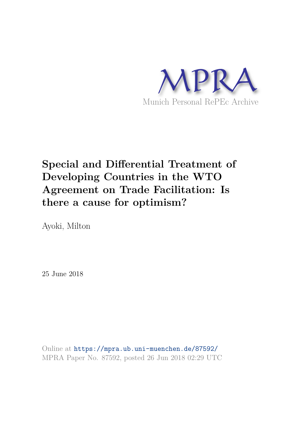

# **Special and Differential Treatment of Developing Countries in the WTO Agreement on Trade Facilitation: Is there a cause for optimism?**

Ayoki, Milton

25 June 2018

Online at https://mpra.ub.uni-muenchen.de/87592/ MPRA Paper No. 87592, posted 26 Jun 2018 02:29 UTC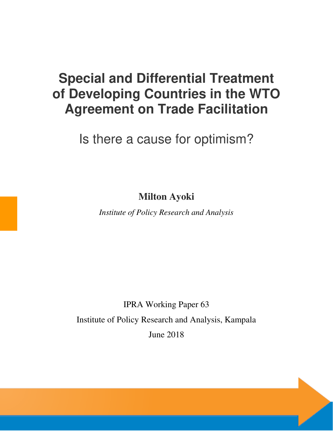# **Special and Differential Treatment of Developing Countries in the WTO Agreement on Trade Facilitation**

Is there a cause for optimism?

**Milton Ayoki** 

*Institute of Policy Research and Analysis* 

IPRA Working Paper 63 Institute of Policy Research and Analysis, Kampala June 2018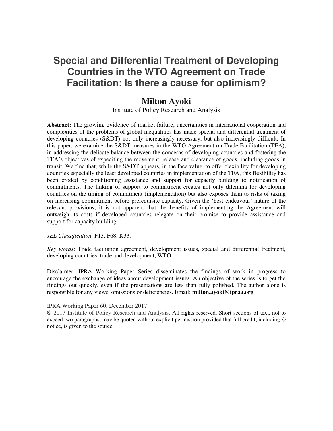# **Special and Differential Treatment of Developing Countries in the WTO Agreement on Trade Facilitation: Is there a cause for optimism?**

## **Milton Ayoki**

Institute of Policy Research and Analysis

**Abstract:** The growing evidence of market failure, uncertainties in international cooperation and complexities of the problems of global inequalities has made special and differential treatment of developing countries (S&DT) not only increasingly necessary, but also increasingly difficult. In this paper, we examine the S&DT measures in the WTO Agreement on Trade Facilitation (TFA), in addressing the delicate balance between the concerns of developing countries and fostering the TFA's objectives of expediting the movement, release and clearance of goods, including goods in transit. We find that, while the S&DT appears, in the face value, to offer flexibility for developing countries especially the least developed countries in implementation of the TFA, this flexibility has been eroded by conditioning assistance and support for capacity building to notification of commitments. The linking of support to commitment creates not only dilemma for developing countries on the timing of commitment (implementation) but also exposes them to risks of taking on increasing commitment before prerequisite capacity. Given the 'best endeavour' nature of the relevant provisions, it is not apparent that the benefits of implementing the Agreement will outweigh its costs if developed countries relegate on their promise to provide assistance and support for capacity building.

*JEL Classification*: F13, F68, K33.

*Key words*: Trade faciliation agreement, development issues, special and differential treatment, developing countries, trade and development, WTO.

Disclaimer: IPRA Working Paper Series disseminates the findings of work in progress to encourage the exchange of ideas about development issues. An objective of the series is to get the findings out quickly, even if the presentations are less than fully polished. The author alone is responsible for any views, omissions or deficiencies. Email: **milton.ayoki@ipraa.org** 

#### IPRA Working Paper 60, December 2017

**©** 2017 Institute of Policy Research and Analysis. All rights reserved. Short sections of text, not to exceed two paragraphs, may be quoted without explicit permission provided that full credit, including © notice, is given to the source.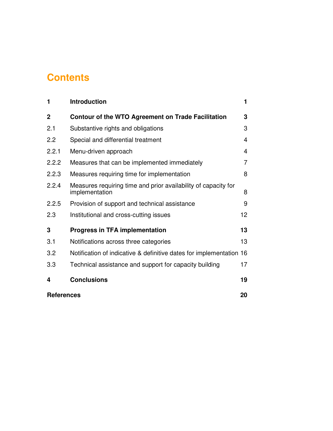# **Contents**

| 1           | <b>Introduction</b>                                                              | 1  |  |
|-------------|----------------------------------------------------------------------------------|----|--|
| $\mathbf 2$ | Contour of the WTO Agreement on Trade Facilitation                               | 3  |  |
| 2.1         | Substantive rights and obligations                                               | 3  |  |
| 2.2         | Special and differential treatment                                               | 4  |  |
| 2.2.1       | Menu-driven approach                                                             | 4  |  |
| 2.2.2       | Measures that can be implemented immediately                                     | 7  |  |
| 2.2.3       | Measures requiring time for implementation                                       | 8  |  |
| 2.2.4       | Measures requiring time and prior availability of capacity for<br>implementation | 8  |  |
| 2.2.5       | Provision of support and technical assistance                                    | 9  |  |
| 2.3         | Institutional and cross-cutting issues                                           | 12 |  |
| 3           | <b>Progress in TFA implementation</b>                                            | 13 |  |
| 3.1         | Notifications across three categories                                            | 13 |  |
| 3.2         | Notification of indicative & definitive dates for implementation 16              |    |  |
| 3.3         | Technical assistance and support for capacity building                           | 17 |  |
| 4           | <b>Conclusions</b>                                                               | 19 |  |
|             | 20<br><b>References</b>                                                          |    |  |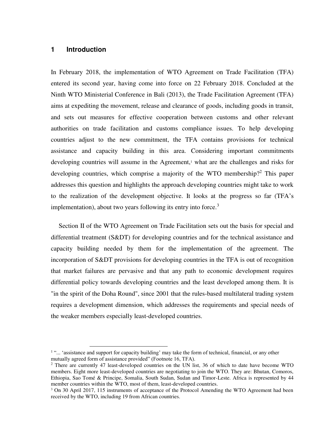#### **1 Introduction**

 $\overline{a}$ 

In February 2018, the implementation of WTO Agreement on Trade Facilitation (TFA) entered its second year, having come into force on 22 February 2018. Concluded at the Ninth WTO Ministerial Conference in Bali (2013), the Trade Facilitation Agreement (TFA) aims at expediting the movement, release and clearance of goods, including goods in transit, and sets out measures for effective cooperation between customs and other relevant authorities on trade facilitation and customs compliance issues. To help developing countries adjust to the new commitment, the TFA contains provisions for technical assistance and capacity building in this area. Considering important commitments developing countries will assume in the Agreement,<sup>1</sup> what are the challenges and risks for developing countries, which comprise a majority of the WTO membership?<sup>2</sup> This paper addresses this question and highlights the approach developing countries might take to work to the realization of the development objective. It looks at the progress so far (TFA's implementation), about two years following its entry into force.<sup>3</sup>

Section II of the WTO Agreement on Trade Facilitation sets out the basis for special and differential treatment (S&DT) for developing countries and for the technical assistance and capacity building needed by them for the implementation of the agreement. The incorporation of S&DT provisions for developing countries in the TFA is out of recognition that market failures are pervasive and that any path to economic development requires differential policy towards developing countries and the least developed among them. It is "in the spirit of the Doha Round", since 2001 that the rules-based multilateral trading system requires a development dimension, which addresses the requirements and special needs of the weaker members especially least-developed countries.

<sup>&</sup>lt;sup>1</sup> "... 'assistance and support for capacity building' may take the form of technical, financial, or any other mutually agreed form of assistance provided" (Footnote 16, TFA).

<sup>&</sup>lt;sup>2</sup> There are currently 47 least-developed countries on the UN list, 36 of which to date have become WTO members. Eight more least-developed countries are negotiating to join the WTO. They are: Bhutan, Comoros, Ethiopia, Sao Tomé & Principe, Somalia, South Sudan, Sudan and Timor-Leste. Africa is represented by 44 member countries within the WTO, most of them, least-developed countries.

<sup>&</sup>lt;sup>3</sup> On 30 April 2017, 115 instruments of acceptance of the Protocol Amending the WTO Agreement had been received by the WTO, including 19 from African countries.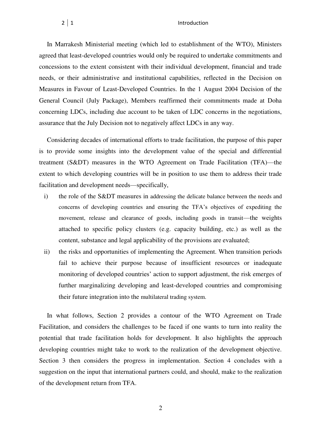In Marrakesh Ministerial meeting (which led to establishment of the WTO), Ministers agreed that least-developed countries would only be required to undertake commitments and concessions to the extent consistent with their individual development, financial and trade needs, or their administrative and institutional capabilities, reflected in the Decision on Measures in Favour of Least-Developed Countries. In the 1 August 2004 Decision of the General Council (July Package), Members reaffirmed their commitments made at Doha concerning LDCs, including due account to be taken of LDC concerns in the negotiations, assurance that the July Decision not to negatively affect LDCs in any way.

Considering decades of international efforts to trade facilitation, the purpose of this paper is to provide some insights into the development value of the special and differential treatment (S&DT) measures in the WTO Agreement on Trade Facilitation (TFA)—the extent to which developing countries will be in position to use them to address their trade facilitation and development needs—specifically,

- i) the role of the S&DT measures in addressing the delicate balance between the needs and concerns of developing countries and ensuring the TFA's objectives of expediting the movement, release and clearance of goods, including goods in transit—the weights attached to specific policy clusters (e.g. capacity building, etc.) as well as the content, substance and legal applicability of the provisions are evaluated;
- ii) the risks and opportunities of implementing the Agreement. When transition periods fail to achieve their purpose because of insufficient resources or inadequate monitoring of developed countries' action to support adjustment, the risk emerges of further marginalizing developing and least-developed countries and compromising their future integration into the multilateral trading system.

In what follows, Section 2 provides a contour of the WTO Agreement on Trade Facilitation, and considers the challenges to be faced if one wants to turn into reality the potential that trade facilitation holds for development. It also highlights the approach developing countries might take to work to the realization of the development objective. Section 3 then considers the progress in implementation. Section 4 concludes with a suggestion on the input that international partners could, and should, make to the realization of the development return from TFA.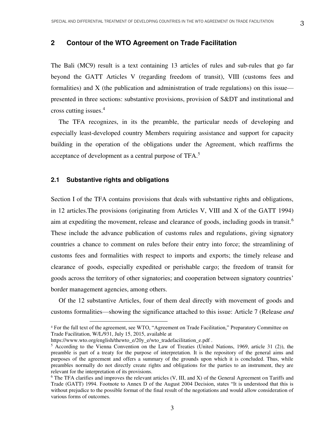### **2 Contour of the WTO Agreement on Trade Facilitation**

The Bali (MC9) result is a text containing 13 articles of rules and sub-rules that go far beyond the GATT Articles V (regarding freedom of transit), VIII (customs fees and formalities) and X (the publication and administration of trade regulations) on this issue presented in three sections: substantive provisions, provision of S&DT and institutional and cross cutting issues.<sup>4</sup>

The TFA recognizes, in its the preamble, the particular needs of developing and especially least-developed country Members requiring assistance and support for capacity building in the operation of the obligations under the Agreement, which reaffirms the acceptance of development as a central purpose of TFA.<sup>5</sup>

#### **2.1 Substantive rights and obligations**

Section I of the TFA contains provisions that deals with substantive rights and obligations, in 12 articles.The provisions (originating from Articles V, VIII and X of the GATT 1994) aim at expediting the movement, release and clearance of goods, including goods in transit.<sup>6</sup> These include the advance publication of customs rules and regulations, giving signatory countries a chance to comment on rules before their entry into force; the streamlining of customs fees and formalities with respect to imports and exports; the timely release and clearance of goods, especially expedited or perishable cargo; the freedom of transit for goods across the territory of other signatories; and cooperation between signatory countries' border management agencies, among others.

Of the 12 substantive Articles, four of them deal directly with movement of goods and customs formalities—showing the significance attached to this issue: Article 7 (Release *and* 

 $\overline{a}$ 

<sup>4</sup> For the full text of the agreement, see WTO, "Agreement on Trade Facilitation," Preparatory Committee on Trade Facilitation, W/L/931, July 15, 2015, available at

https://www.wto.org/english/thewto\_e/20y\_e/wto\_tradefacilitation\_e.pdf.

<sup>5</sup> According to the Vienna Convention on the Law of Treaties (United Nations, 1969, article 31 (2)), the preamble is part of a treaty for the purpose of interpretation. It is the repository of the general aims and purposes of the agreement and offers a summary of the grounds upon which it is concluded. Thus, while preambles normally do not directly create rights and obligations for the parties to an instrument, they are relevant for the interpretation of its provisions.

<sup>&</sup>lt;sup>6</sup> The TFA clarifies and improves the relevant articles (V, III, and X) of the General Agreement on Tariffs and Trade (GATT) 1994. Footnote to Annex D of the August 2004 Decision, states "It is understood that this is without prejudice to the possible format of the final result of the negotiations and would allow consideration of various forms of outcomes.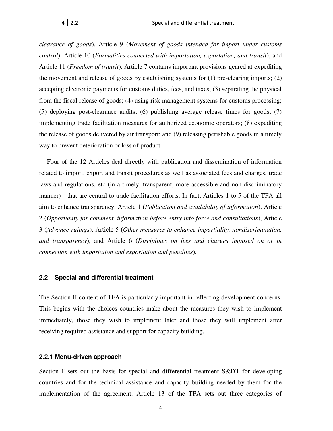*clearance of goods*), Article 9 (*Movement of goods intended for import under customs control*), Article 10 (*Formalities connected with importation, exportation, and transit*), and Article 11 (*Freedom of transit*). Article 7 contains important provisions geared at expediting the movement and release of goods by establishing systems for (1) pre-clearing imports; (2) accepting electronic payments for customs duties, fees, and taxes; (3) separating the physical from the fiscal release of goods; (4) using risk management systems for customs processing; (5) deploying post-clearance audits; (6) publishing average release times for goods; (7) implementing trade facilitation measures for authorized economic operators; (8) expediting the release of goods delivered by air transport; and (9) releasing perishable goods in a timely way to prevent deterioration or loss of product.

Four of the 12 Articles deal directly with publication and dissemination of information related to import, export and transit procedures as well as associated fees and charges, trade laws and regulations, etc (in a timely, transparent, more accessible and non discriminatory manner)—that are central to trade facilitation efforts. In fact, Articles 1 to 5 of the TFA all aim to enhance transparency. Article 1 (*Publication and availability of information*), Article 2 (*Opportunity for comment, information before entry into force and consultations*), Article 3 (*Advance rulings*), Article 5 (*Other measures to enhance impartiality, nondiscrimination, and transparency*), and Article 6 (*Disciplines on fees and charges imposed on or in connection with importation and exportation and penalties*).

#### **2.2 Special and differential treatment**

The Section II content of TFA is particularly important in reflecting development concerns. This begins with the choices countries make about the measures they wish to implement immediately, those they wish to implement later and those they will implement after receiving required assistance and support for capacity building.

#### **2.2.1 Menu-driven approach**

Section II sets out the basis for special and differential treatment S&DT for developing countries and for the technical assistance and capacity building needed by them for the implementation of the agreement. Article 13 of the TFA sets out three categories of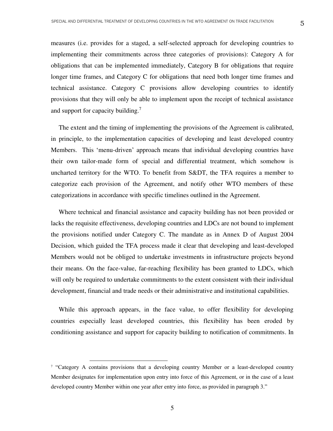measures (i.e. provides for a staged, a self-selected approach for developing countries to implementing their commitments across three categories of provisions): Category A for obligations that can be implemented immediately, Category B for obligations that require longer time frames, and Category C for obligations that need both longer time frames and technical assistance. Category C provisions allow developing countries to identify provisions that they will only be able to implement upon the receipt of technical assistance and support for capacity building.<sup>7</sup>

The extent and the timing of implementing the provisions of the Agreement is calibrated, in principle, to the implementation capacities of developing and least developed country Members. This 'menu-driven' approach means that individual developing countries have their own tailor-made form of special and differential treatment, which somehow is uncharted territory for the WTO. To benefit from S&DT, the TFA requires a member to categorize each provision of the Agreement, and notify other WTO members of these categorizations in accordance with specific timelines outlined in the Agreement.

Where technical and financial assistance and capacity building has not been provided or lacks the requisite effectiveness, developing countries and LDCs are not bound to implement the provisions notified under Category C. The mandate as in Annex D of August 2004 Decision, which guided the TFA process made it clear that developing and least-developed Members would not be obliged to undertake investments in infrastructure projects beyond their means. On the face-value, far-reaching flexibility has been granted to LDCs, which will only be required to undertake commitments to the extent consistent with their individual development, financial and trade needs or their administrative and institutional capabilities.

While this approach appears, in the face value, to offer flexibility for developing countries especially least developed countries, this flexibility has been eroded by conditioning assistance and support for capacity building to notification of commitments. In

 $\overline{a}$ 

<sup>&</sup>lt;sup>7</sup> "Category A contains provisions that a developing country Member or a least-developed country Member designates for implementation upon entry into force of this Agreement, or in the case of a least developed country Member within one year after entry into force, as provided in paragraph 3."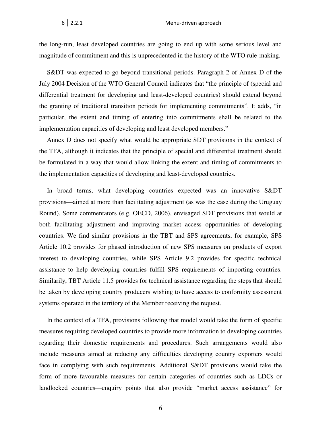the long-run, least developed countries are going to end up with some serious level and magnitude of commitment and this is unprecedented in the history of the WTO rule-making.

S&DT was expected to go beyond transitional periods. Paragraph 2 of Annex D of the July 2004 Decision of the WTO General Council indicates that "the principle of (special and differential treatment for developing and least-developed countries) should extend beyond the granting of traditional transition periods for implementing commitments". It adds, "in particular, the extent and timing of entering into commitments shall be related to the implementation capacities of developing and least developed members."

Annex D does not specify what would be appropriate SDT provisions in the context of the TFA, although it indicates that the principle of special and differential treatment should be formulated in a way that would allow linking the extent and timing of commitments to the implementation capacities of developing and least-developed countries.

In broad terms, what developing countries expected was an innovative S&DT provisions—aimed at more than facilitating adjustment (as was the case during the Uruguay Round). Some commentators (e.g. OECD, 2006), envisaged SDT provisions that would at both facilitating adjustment and improving market access opportunities of developing countries. We find similar provisions in the TBT and SPS agreements, for example, SPS Article 10.2 provides for phased introduction of new SPS measures on products of export interest to developing countries, while SPS Article 9.2 provides for specific technical assistance to help developing countries fulfill SPS requirements of importing countries. Similarily, TBT Article 11.5 provides for technical assistance regarding the steps that should be taken by developing country producers wishing to have access to conformity assessment systems operated in the territory of the Member receiving the request.

In the context of a TFA, provisions following that model would take the form of specific measures requiring developed countries to provide more information to developing countries regarding their domestic requirements and procedures. Such arrangements would also include measures aimed at reducing any difficulties developing country exporters would face in complying with such requirements. Additional S&DT provisions would take the form of more favourable measures for certain categories of countries such as LDCs or landlocked countries—enquiry points that also provide "market access assistance" for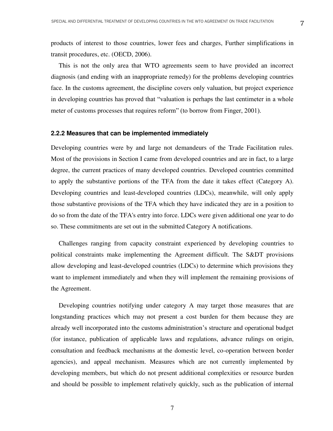products of interest to those countries, lower fees and charges, Further simplifications in transit procedures, etc. (OECD, 2006).

This is not the only area that WTO agreements seem to have provided an incorrect diagnosis (and ending with an inappropriate remedy) for the problems developing countries face. In the customs agreement, the discipline covers only valuation, but project experience in developing countries has proved that "valuation is perhaps the last centimeter in a whole meter of customs processes that requires reform" (to borrow from Finger, 2001).

#### **2.2.2 Measures that can be implemented immediately**

Developing countries were by and large not demandeurs of the Trade Facilitation rules. Most of the provisions in Section I came from developed countries and are in fact, to a large degree, the current practices of many developed countries. Developed countries committed to apply the substantive portions of the TFA from the date it takes effect (Category A). Developing countries and least-developed countries (LDCs), meanwhile, will only apply those substantive provisions of the TFA which they have indicated they are in a position to do so from the date of the TFA's entry into force. LDCs were given additional one year to do so. These commitments are set out in the submitted Category A notifications.

Challenges ranging from capacity constraint experienced by developing countries to political constraints make implementing the Agreement difficult. The S&DT provisions allow developing and least-developed countries (LDCs) to determine which provisions they want to implement immediately and when they will implement the remaining provisions of the Agreement.

Developing countries notifying under category A may target those measures that are longstanding practices which may not present a cost burden for them because they are already well incorporated into the customs administration's structure and operational budget (for instance, publication of applicable laws and regulations, advance rulings on origin, consultation and feedback mechanisms at the domestic level, co-operation between border agencies), and appeal mechanism. Measures which are not currently implemented by developing members, but which do not present additional complexities or resource burden and should be possible to implement relatively quickly, such as the publication of internal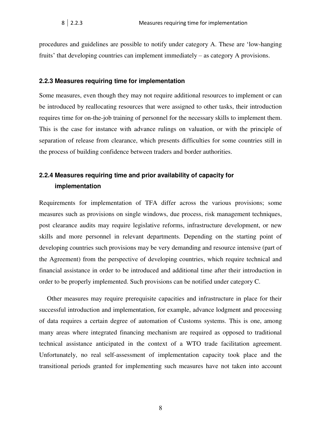procedures and guidelines are possible to notify under category A. These are 'low-hanging fruits' that developing countries can implement immediately – as category A provisions.

#### **2.2.3 Measures requiring time for implementation**

Some measures, even though they may not require additional resources to implement or can be introduced by reallocating resources that were assigned to other tasks, their introduction requires time for on-the-job training of personnel for the necessary skills to implement them. This is the case for instance with advance rulings on valuation, or with the principle of separation of release from clearance, which presents difficulties for some countries still in the process of building confidence between traders and border authorities.

## **2.2.4 Measures requiring time and prior availability of capacity for implementation**

Requirements for implementation of TFA differ across the various provisions; some measures such as provisions on single windows, due process, risk management techniques, post clearance audits may require legislative reforms, infrastructure development, or new skills and more personnel in relevant departments. Depending on the starting point of developing countries such provisions may be very demanding and resource intensive (part of the Agreement) from the perspective of developing countries, which require technical and financial assistance in order to be introduced and additional time after their introduction in order to be properly implemented. Such provisions can be notified under category C.

Other measures may require prerequisite capacities and infrastructure in place for their successful introduction and implementation, for example, advance lodgment and processing of data requires a certain degree of automation of Customs systems. This is one, among many areas where integrated financing mechanism are required as opposed to traditional technical assistance anticipated in the context of a WTO trade facilitation agreement. Unfortunately, no real self-assessment of implementation capacity took place and the transitional periods granted for implementing such measures have not taken into account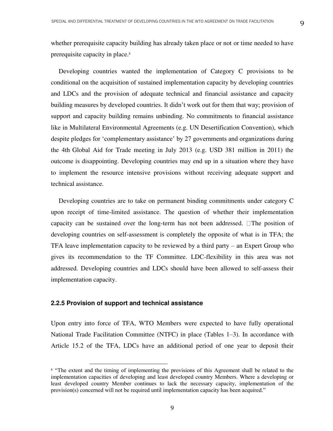whether prerequisite capacity building has already taken place or not or time needed to have prerequisite capacity in place.<sup>8</sup>

Developing countries wanted the implementation of Category C provisions to be conditional on the acquisition of sustained implementation capacity by developing countries and LDCs and the provision of adequate technical and financial assistance and capacity building measures by developed countries. It didn't work out for them that way; provision of support and capacity building remains unbinding. No commitments to financial assistance like in Multilateral Environmental Agreements (e.g. UN Desertification Convention), which despite pledges for 'complementary assistance' by 27 governments and organizations during the 4th Global Aid for Trade meeting in July 2013 (e.g. USD 381 million in 2011) the outcome is disappointing. Developing countries may end up in a situation where they have to implement the resource intensive provisions without receiving adequate support and technical assistance.

Developing countries are to take on permanent binding commitments under category C upon receipt of time-limited assistance. The question of whether their implementation capacity can be sustained over the long-term has not been addressed.  $\Box$  The position of developing countries on self-assessment is completely the opposite of what is in TFA; the TFA leave implementation capacity to be reviewed by a third party – an Expert Group who gives its recommendation to the TF Committee. LDC-flexibility in this area was not addressed. Developing countries and LDCs should have been allowed to self-assess their implementation capacity.

#### **2.2.5 Provision of support and technical assistance**

 $\overline{a}$ 

Upon entry into force of TFA, WTO Members were expected to have fully operational National Trade Facilitation Committee (NTFC) in place (Tables 1–3). In accordance with Article 15.2 of the TFA, LDCs have an additional period of one year to deposit their

<sup>&</sup>lt;sup>8</sup> "The extent and the timing of implementing the provisions of this Agreement shall be related to the implementation capacities of developing and least developed country Members. Where a developing or least developed country Member continues to lack the necessary capacity, implementation of the provision(s) concerned will not be required until implementation capacity has been acquired."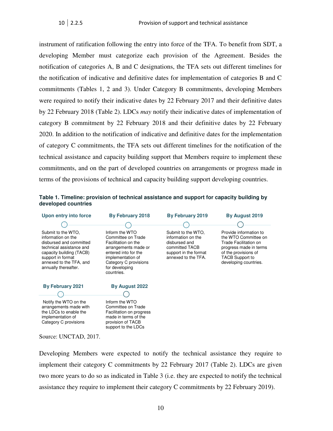instrument of ratification following the entry into force of the TFA. To benefit from SDT, a developing Member must categorize each provision of the Agreement. Besides the notification of categories A, B and C designations, the TFA sets out different timelines for the notification of indicative and definitive dates for implementation of categories B and C commitments (Tables 1, 2 and 3). Under Category B commitments, developing Members were required to notify their indicative dates by 22 February 2017 and their definitive dates by 22 February 2018 (Table 2). LDCs *may* notify their indicative dates of implementation of category B commitment by 22 February 2018 and their definitive dates by 22 February 2020. In addition to the notification of indicative and definitive dates for the implementation of category C commitments, the TFA sets out different timelines for the notification of the technical assistance and capacity building support that Members require to implement these commitments, and on the part of developed countries on arrangements or progress made in terms of the provisions of technical and capacity building support developing countries.

#### **Table 1. Timeline: provision of technical assistance and support for capacity building by developed countries**



Developing Members were expected to notify the technical assistance they require to implement their category C commitments by 22 February 2017 (Table 2). LDCs are given two more years to do so as indicated in Table 3 (i.e. they are expected to notify the technical assistance they require to implement their category C commitments by 22 February 2019).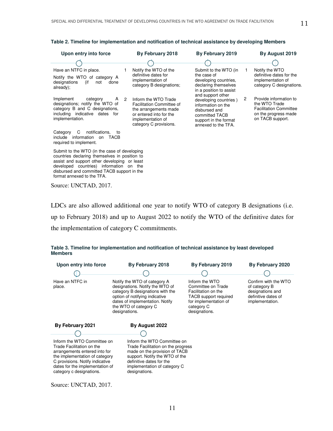| Upon entry into force                                                                                                                                                             | By February 2018                                                                                                                                                       | By February 2019                                                                                                                                    | By August 2019                                                                                                            |
|-----------------------------------------------------------------------------------------------------------------------------------------------------------------------------------|------------------------------------------------------------------------------------------------------------------------------------------------------------------------|-----------------------------------------------------------------------------------------------------------------------------------------------------|---------------------------------------------------------------------------------------------------------------------------|
|                                                                                                                                                                                   |                                                                                                                                                                        |                                                                                                                                                     |                                                                                                                           |
| Have an NTFC in place.<br>Notify the WTO of category A<br>designations<br>(if<br>done<br>not<br>already);                                                                         | Notify the WTO of the<br>definitive dates for<br>implementation of<br>category B designations;                                                                         | Submit to the WTO (in<br>the case of<br>developing countries,<br>declaring themselves<br>in a position to assist                                    | Notify the WTO<br>definitive dates for the<br>implementation of<br>category C designations.                               |
| Implement<br>A<br>category<br>designations; notify the WTO of<br>category B and C designations.<br>including indicative dates<br>for<br>implementation.                           | $\overline{2}$<br>Inform the WTO Trade<br>Facilitation Committee of<br>the arrangements made<br>or entered into for the<br>implementation of<br>category C provisions. | and support other<br>developing countries)<br>information on the<br>disbursed and<br>committed TACB<br>support in the format<br>annexed to the TFA. | 2<br>Provide information to<br>the WTO Trade<br><b>Facilitation Committee</b><br>on the progress made<br>on TACB support. |
| C<br>notifications.<br>Category<br>to<br>include information<br>TACB<br>on<br>required to implement.                                                                              |                                                                                                                                                                        |                                                                                                                                                     |                                                                                                                           |
| Submit to the WTO (in the case of developing<br>countries declaring themselves in position to<br>assist and support other developing or least<br>developed countries) information | on the                                                                                                                                                                 |                                                                                                                                                     |                                                                                                                           |

#### **Table 2. Timeline for implementation and notification of technical assistance by developing Members**

format annexed to the TFA. Source: UNCTAD, 2017.

disbursed and committed TACB support in the

LDCs are also allowed additional one year to notify WTO of category B designations (i.e.

up to February 2018) and up to August 2022 to notify the WTO of the definitive dates for

the implementation of category C commitments.

#### **Upon entry into force By February 2018 By February 2019 By February 2020**  ١ Œ Have an NTFC in Notify the WTO of category A Inform the WTO Confirm with the WTO designations. Notify the WTO of Committee on Trade of category B place. category B designations with the Facilitation on the designations and option of notifying indicative TACB support required definitive dates of dates of implementation. Notify for implementation of implementation. the WTO of category C category C designations. designations.  **By February 2021 By August 2022**  Inform the WTO Committee on Inform the WTO Committee on Trade Facilitation on the Trade Facilitation on the progress arrangements entered into for made on the provision of TACB the implementation of category support. Notify the WTO of the C provisions. Notify indicative definitive dates for the dates for the implementation of implementation of category C category c designations. designations.

|                | Table 3. Timeline for implementation and notification of technical assistance by least developed |  |  |  |
|----------------|--------------------------------------------------------------------------------------------------|--|--|--|
| <b>Members</b> |                                                                                                  |  |  |  |

Source: UNCTAD, 2017.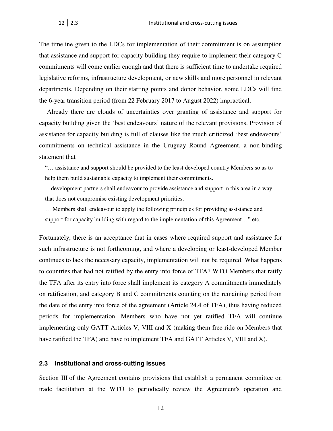The timeline given to the LDCs for implementation of their commitment is on assumption that assistance and support for capacity building they require to implement their category C commitments will come earlier enough and that there is sufficient time to undertake required legislative reforms, infrastructure development, or new skills and more personnel in relevant departments. Depending on their starting points and donor behavior, some LDCs will find the 6-year transition period (from 22 February 2017 to August 2022) impractical.

Already there are clouds of uncertainties over granting of assistance and support for capacity building given the 'best endeavours' nature of the relevant provisions. Provision of assistance for capacity building is full of clauses like the much criticized 'best endeavours' commitments on technical assistance in the Uruguay Round Agreement, a non-binding statement that

"… assistance and support should be provided to the least developed country Members so as to help them build sustainable capacity to implement their commitments.

…development partners shall endeavour to provide assistance and support in this area in a way that does not compromise existing development priorities.

… Members shall endeavour to apply the following principles for providing assistance and support for capacity building with regard to the implementation of this Agreement…" etc.

Fortunately, there is an acceptance that in cases where required support and assistance for such infrastructure is not forthcoming, and where a developing or least-developed Member continues to lack the necessary capacity, implementation will not be required. What happens to countries that had not ratified by the entry into force of TFA? WTO Members that ratify the TFA after its entry into force shall implement its category A commitments immediately on ratification, and category B and C commitments counting on the remaining period from the date of the entry into force of the agreement (Article 24.4 of TFA), thus having reduced periods for implementation. Members who have not yet ratified TFA will continue implementing only GATT Articles V, VIII and X (making them free ride on Members that have ratified the TFA) and have to implement TFA and GATT Articles V, VIII and X).

#### **2.3 Institutional and cross-cutting issues**

Section III of the Agreement contains provisions that establish a permanent committee on trade facilitation at the WTO to periodically review the Agreement's operation and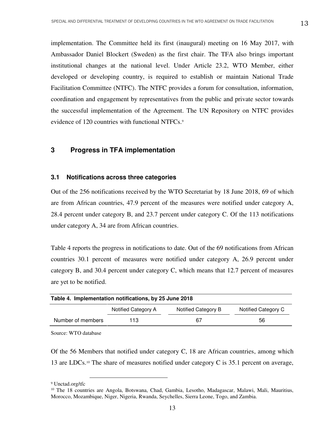implementation. The Committee held its first (inaugural) meeting on 16 May 2017, with Ambassador Daniel Blockert (Sweden) as the first chair. The TFA also brings important institutional changes at the national level. Under Article 23.2, WTO Member, either developed or developing country, is required to establish or maintain National Trade Facilitation Committee (NTFC). The NTFC provides a forum for consultation, information, coordination and engagement by representatives from the public and private sector towards the successful implementation of the Agreement. The UN Repository on NTFC provides evidence of 120 countries with functional NTFCs.<sup>9</sup>

#### **3 Progress in TFA implementation**

#### **3.1 Notifications across three categories**

Out of the 256 notifications received by the WTO Secretariat by 18 June 2018, 69 of which are from African countries, 47.9 percent of the measures were notified under category A, 28.4 percent under category B, and 23.7 percent under category C. Of the 113 notifications under category A, 34 are from African countries.

Table 4 reports the progress in notifications to date. Out of the 69 notifications from African countries 30.1 percent of measures were notified under category A, 26.9 percent under category B, and 30.4 percent under category C, which means that 12.7 percent of measures are yet to be notified.

| Table 4. Implementation notifications, by 25 June 2018 |                     |                     |                     |  |
|--------------------------------------------------------|---------------------|---------------------|---------------------|--|
|                                                        | Notified Category A | Notified Category B | Notified Category C |  |
| Number of members                                      | 113                 | 67                  | 56                  |  |

Source: WTO database

 $\overline{a}$ 

Of the 56 Members that notified under category C, 18 are African countries, among which 13 are LDCs.<sup>10</sup> The share of measures notified under category C is 35.1 percent on average,

<sup>9</sup> Unctad.org/tfc

<sup>10</sup> The 18 countries are Angola, Botswana, Chad, Gambia, Lesotho, Madagascar, Malawi, Mali, Mauritius, Morocco, Mozambique, Niger, Nigeria, Rwanda, Seychelles, Sierra Leone, Togo, and Zambia.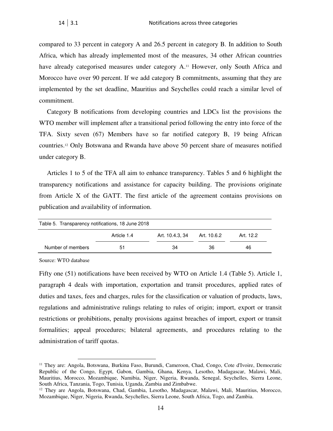compared to 33 percent in category A and 26.5 percent in category B. In addition to South Africa, which has already implemented most of the measures, 34 other African countries have already categorised measures under category A.<sup>11</sup> However, only South Africa and Morocco have over 90 percent. If we add category B commitments, assuming that they are implemented by the set deadline, Mauritius and Seychelles could reach a similar level of commitment.

Category B notifications from developing countries and LDCs list the provisions the WTO member will implement after a transitional period following the entry into force of the TFA. Sixty seven (67) Members have so far notified category B, 19 being African countries.12 Only Botswana and Rwanda have above 50 percent share of measures notified under category B.

Articles 1 to 5 of the TFA all aim to enhance transparency. Tables 5 and 6 highlight the transparency notifications and assistance for capacity building. The provisions originate from Article X of the GATT. The first article of the agreement contains provisions on publication and availability of information.

| Table 5. Transparency notifications, 18 June 2018 |             |                 |             |           |  |
|---------------------------------------------------|-------------|-----------------|-------------|-----------|--|
|                                                   | Article 1.4 | Art. 10.4.3, 34 | Art. 10.6.2 | Art. 12.2 |  |
| Number of members                                 | 51          | 34              | 36          | 46        |  |
|                                                   |             |                 |             |           |  |

Source: WTO database

 $\overline{a}$ 

Fifty one (51) notifications have been received by WTO on Article 1.4 (Table 5). Article 1, paragraph 4 deals with importation, exportation and transit procedures, applied rates of duties and taxes, fees and charges, rules for the classification or valuation of products, laws, regulations and administrative rulings relating to rules of origin; import, export or transit restrictions or prohibitions, penalty provisions against breaches of import, export or transit formalities; appeal procedures; bilateral agreements, and procedures relating to the administration of tariff quotas.

<sup>11</sup> They are: Angola, Botswana, Burkina Faso, Burundi, Cameroon, Chad, Congo, Cote d'Ivoire, Democratic Republic of the Congo, Egypt, Gabon, Gambia, Ghana, Kenya, Lesotho, Madagascar, Malawi, Mali, Mauritius, Morocco, Mozambique, Namibia, Niger, Nigeria, Rwanda, Senegal, Seychelles, Sierra Leone, South Africa, Tanzania, Togo, Tunisia, Uganda, Zambia and Zimbabwe.

<sup>12</sup> They are Angola, Botswana, Chad, Gambia, Lesotho, Madagascar, Malawi, Mali, Mauritius, Morocco, Mozambique, Niger, Nigeria, Rwanda, Seychelles, Sierra Leone, South Africa, Togo, and Zambia.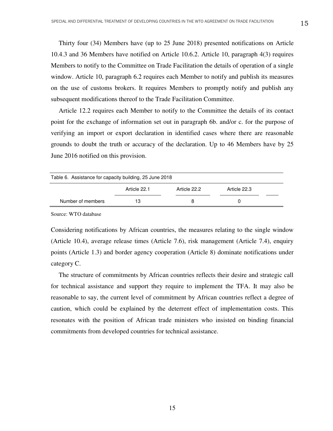Thirty four (34) Members have (up to 25 June 2018) presented notifications on Article 10.4.3 and 36 Members have notified on Article 10.6.2. Article 10, paragraph 4(3) requires Members to notify to the Committee on Trade Facilitation the details of operation of a single window. Article 10, paragraph 6.2 requires each Member to notify and publish its measures on the use of customs brokers. It requires Members to promptly notify and publish any subsequent modifications thereof to the Trade Facilitation Committee.

Article 12.2 requires each Member to notify to the Committee the details of its contact point for the exchange of information set out in paragraph 6b. and/or c. for the purpose of verifying an import or export declaration in identified cases where there are reasonable grounds to doubt the truth or accuracy of the declaration. Up to 46 Members have by 25 June 2016 notified on this provision.

| Table 6. Assistance for capacity building, 25 June 2018 |              |              |              |  |  |
|---------------------------------------------------------|--------------|--------------|--------------|--|--|
|                                                         | Article 22.1 | Article 22.2 | Article 22.3 |  |  |
| Number of members                                       | 13           |              |              |  |  |

Source: WTO database

Considering notifications by African countries, the measures relating to the single window (Article 10.4), average release times (Article 7.6), risk management (Article 7.4), enquiry points (Article 1.3) and border agency cooperation (Article 8) dominate notifications under category C.

The structure of commitments by African countries reflects their desire and strategic call for technical assistance and support they require to implement the TFA. It may also be reasonable to say, the current level of commitment by African countries reflect a degree of caution, which could be explained by the deterrent effect of implementation costs. This resonates with the position of African trade ministers who insisted on binding financial commitments from developed countries for technical assistance.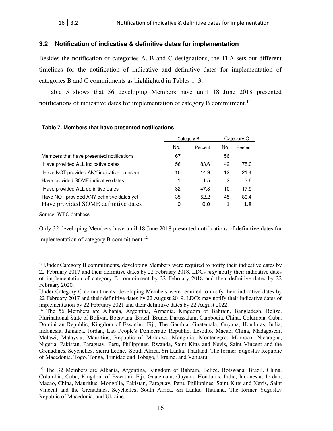#### **3.2 Notification of indicative & definitive dates for implementation**

Besides the notification of categories A, B and C designations, the TFA sets out different timelines for the notification of indicative and definitive dates for implementation of categories B and C commitments as highlighted in Tables 1–3.<sup>13</sup>

Table 5 shows that 56 developing Members have until 18 June 2018 presented notifications of indicative dates for implementation of category B commitment.<sup>14</sup>

| Table 7. Members that have presented notifications |            |         |     |            |
|----------------------------------------------------|------------|---------|-----|------------|
|                                                    | Category B |         |     | Category C |
|                                                    | No.        | Percent | No. | Percent    |
| Members that have presented notifications          | 67         |         | 56  |            |
| Have provided ALL indicative dates                 | 56         | 83.6    | 42  | 75.0       |
| Have NOT provided ANY indicative dates yet         | 10         | 14.9    | 12  | 21.4       |
| Have provided SOME indicative dates                |            | 1.5     | 2   | 3.6        |
| Have provided ALL definitive dates                 | 32         | 47.8    | 10  | 17.9       |
| Have NOT provided ANY definitive dates yet         | 35         | 52.2    | 45  | 80.4       |
| Have provided SOME definitive dates                | 0          | 0.0     |     | 1.8        |

 $\overline{a}$ 

Source: WTO database

Only 32 developing Members have until 18 June 2018 presented notifications of definitive dates for implementation of category B commitment.<sup>15</sup>

<sup>&</sup>lt;sup>13</sup> Under Category B commitments, developing Members were required to notify their indicative dates by 22 February 2017 and their definitive dates by 22 February 2018. LDCs *may* notify their indicative dates of implementation of category B commitment by 22 February 2018 and their definitive dates by 22 February 2020.

Under Category C commitments, developing Members were required to notify their indicative dates by 22 February 2017 and their definitive dates by 22 August 2019. LDCs may notify their indicative dates of implementation by 22 February 2021 and their definitive dates by 22 August 2022.

<sup>&</sup>lt;sup>14</sup> The 56 Members are Albania, Argentina, Armenia, Kingdom of Bahrain, Bangladesh, Belize, Plurinational State of Bolivia, Botswana, Brazil, Brunei Darussalam, Cambodia, China, Columbia, Cuba, Dominican Republic, Kingdom of Eswatini, Fiji, The Gambia, Guatemala, Guyana, Honduras, India, Indonesia, Jamaica, Jordan, Lao People's Democratic Republic, Lesotho, Macao, China, Madagascar, Malawi, Malaysia, Mauritius, Republic of Moldova, Mongolia, Montenegro, Morocco, Nicaragua, Nigeria, Pakistan, Paraguay, Peru, Philippines, Rwanda, Saint Kitts and Nevis, Saint Vincent and the Grenadines, Seychelles, Sierra Leone, South Africa, Sri Lanka, Thailand, The former Yugoslav Republic of Macedonia, Togo, Tonga, Trinidad and Tobago, Ukraine, and Vanuatu.

<sup>15</sup> The 32 Members are Albania, Argentina, Kingdom of Bahrain, Belize, Botswana, Brazil, China, Columbia, Cuba, Kingdom of Eswatini, Fiji, Guatemala, Guyana, Honduras, India, Indonesia, Jordan, Macao, China, Mauritius, Mongolia, Pakistan, Paraguay, Peru, Philippines, Saint Kitts and Nevis, Saint Vincent and the Grenadines, Seychelles, South Africa, Sri Lanka, Thailand, The former Yugoslav Republic of Macedonia, and Ukraine.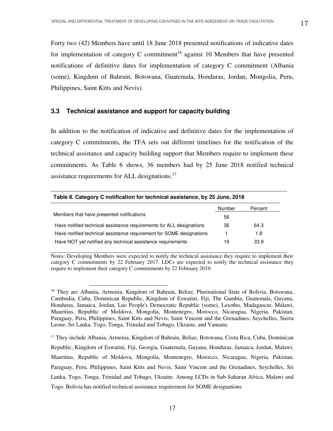Forty two (42) Members have until 18 June 2018 presented notifications of indicative dates for implementation of category C commitment<sup>16</sup> against 10 Members that have presented notifications of definitive dates for implementation of category C commitment (Albania (some), Kingdom of Bahrain, Botswana, Guatemala, Honduras, Jordan, Mongolia, Peru, Philippines, Saint Kitts and Nevis).

#### **3.3 Technical assistance and support for capacity building**

 $\overline{a}$ 

In addition to the notification of indicative and definitive dates for the implementation of category C commitments, the TFA sets out different timelines for the notification of the technical assistance and capacity building support that Members require to implement these commitments. As Table 6 shows, 36 members had by 25 June 2018 notified technical assistance requirements for ALL designations.<sup>17</sup>

| Table 8. Category C notification for technical assistance, by 25 June, 2018 |        |         |  |  |
|-----------------------------------------------------------------------------|--------|---------|--|--|
|                                                                             | Number | Percent |  |  |
| Members that have presented notifications                                   | 56     |         |  |  |
| Have notified technical assistance requirements for ALL designations        | 36     | 64.3    |  |  |
| Have notified technical assistance requirement for SOME designations        |        | 1.8     |  |  |
| Have NOT yet notified any technical assistance requirements                 | 19     | 33.9    |  |  |

Notes: Developing Members were expected to notify the technical assistance they require to implement their category C commitments by 22 February 2017. LDCs are expected to notify the technical assistance they require to implement their category C commitments by 22 February 2019.

<sup>17</sup> They include Albania, Armenia, Kingdom of Bahrain, Belize, Botswana, Costa Rica, Cuba, Dominican Republic, Kingdom of Eswatini, Fiji, Georgia, Guatemala, Guyana, Honduras, Jamaica, Jordan, Malawi, Mauritius, Republic of Moldova, Mongolia, Montenegro, Morocco, Nicaragua, Nigeria, Pakistan, Paraguay, Peru, Philippines, Saint Kitts and Nevis, Saint Vincent and the Grenadines, Seychelles, Sri Lanka, Togo, Tonga, Trinidad and Tobago, Ukraine. Among LCDs in Sub-Saharan Africa, Malawi and Togo. Bolivia has notified technical assistance requirement for SOME designations

<sup>&</sup>lt;sup>16</sup> They are Albania, Armenia, Kingdom of Bahrain, Belize, Plurinational State of Bolivia, Botswana, Cambodia, Cuba, Dominican Republic, Kingdom of Eswatini, Fiji, The Gambia, Guatemala, Guyana, Honduras, Jamaica, Jordan, Lao People's Democratic Republic (some), Lesotho, Madagascar, Malawi, Mauritius, Republic of Moldova, Mongolia, Montenegro, Morocco, Nicaragua, Nigeria, Pakistan, Paraguay, Peru, Philippines, Saint Kitts and Nevis, Saint Vincent and the Grenadines, Seychelles, Sierra Leone, Sri Lanka, Togo, Tonga, Trinidad and Tobago, Ukraine, and Vanuatu.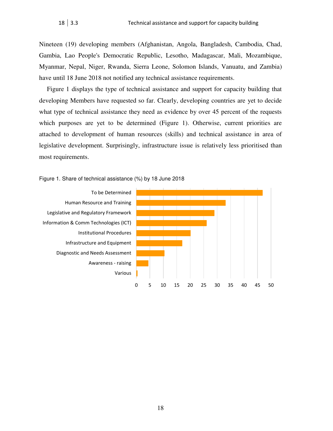Nineteen (19) developing members (Afghanistan, Angola, Bangladesh, Cambodia, Chad, Gambia, Lao People's Democratic Republic, Lesotho, Madagascar, Mali, Mozambique, Myanmar, Nepal, Niger, Rwanda, Sierra Leone, Solomon Islands, Vanuatu, and Zambia) have until 18 June 2018 not notified any technical assistance requirements.

Figure 1 displays the type of technical assistance and support for capacity building that developing Members have requested so far. Clearly, developing countries are yet to decide what type of technical assistance they need as evidence by over 45 percent of the requests which purposes are yet to be determined (Figure 1). Otherwise, current priorities are attached to development of human resources (skills) and technical assistance in area of legislative development. Surprisingly, infrastructure issue is relatively less prioritised than most requirements.



#### Figure 1. Share of technical assistance (%) by 18 June 2018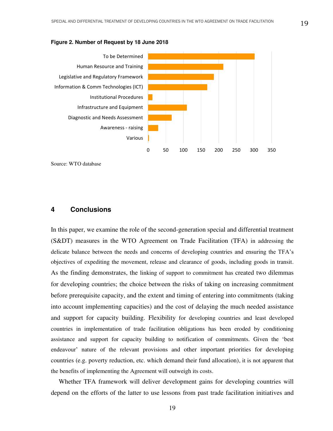#### **Figure 2. Number of Request by 18 June 2018**



Source: WTO database

#### **4 Conclusions**

In this paper, we examine the role of the second-generation special and differential treatment (S&DT) measures in the WTO Agreement on Trade Facilitation (TFA) in addressing the delicate balance between the needs and concerns of developing countries and ensuring the TFA's objectives of expediting the movement, release and clearance of goods, including goods in transit. As the finding demonstrates, the linking of support to commitment has created two dilemmas for developing countries; the choice between the risks of taking on increasing commitment before prerequisite capacity, and the extent and timing of entering into commitments (taking into account implementing capacities) and the cost of delaying the much needed assistance and support for capacity building. Flexibility for developing countries and least developed countries in implementation of trade facilitation obligations has been eroded by conditioning assistance and support for capacity building to notification of commitments. Given the 'best endeavour' nature of the relevant provisions and other important priorities for developing countries (e.g. poverty reduction, etc. which demand their fund allocation), it is not apparent that the benefits of implementing the Agreement will outweigh its costs.

Whether TFA framework will deliver development gains for developing countries will depend on the efforts of the latter to use lessons from past trade facilitation initiatives and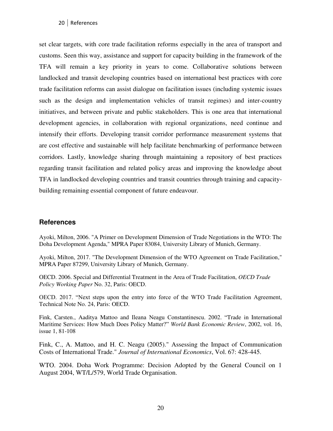#### 20 References

set clear targets, with core trade facilitation reforms especially in the area of transport and customs. Seen this way, assistance and support for capacity building in the framework of the TFA will remain a key priority in years to come. Collaborative solutions between landlocked and transit developing countries based on international best practices with core trade facilitation reforms can assist dialogue on facilitation issues (including systemic issues such as the design and implementation vehicles of transit regimes) and inter-country initiatives, and between private and public stakeholders. This is one area that international development agencies, in collaboration with regional organizations, need continue and intensify their efforts. Developing transit corridor performance measurement systems that are cost effective and sustainable will help facilitate benchmarking of performance between corridors. Lastly, knowledge sharing through maintaining a repository of best practices regarding transit facilitation and related policy areas and improving the knowledge about TFA in landlocked developing countries and transit countries through training and capacitybuilding remaining essential component of future endeavour.

#### **References**

Ayoki, Milton, 2006. "A Primer on Development Dimension of Trade Negotiations in the WTO: The Doha Development Agenda," MPRA Paper 83084, University Library of Munich, Germany.

Ayoki, Milton, 2017. "The Development Dimension of the WTO Agreement on Trade Facilitation," MPRA Paper 87299, University Library of Munich, Germany.

OECD. 2006. Special and Differential Treatment in the Area of Trade Facilitation, *OECD Trade Policy Working Paper* No. 32, Paris: OECD.

OECD. 2017. "Next steps upon the entry into force of the WTO Trade Facilitation Agreement, Technical Note No. 24, Paris: OECD.

Fink, Carsten., Aaditya Mattoo and Ileana Neagu Constantinescu. 2002. "Trade in International Maritime Services: How Much Does Policy Matter?" *World Bank Economic Review*, 2002, vol. 16, issue 1, 81-108

Fink, C., A. Mattoo, and H. C. Neagu (2005)." Assessing the Impact of Communication Costs of International Trade." *Journal of International Economics*, Vol. 67: 428-445.

WTO. 2004. Doha Work Programme: Decision Adopted by the General Council on 1 August 2004, WT/L/579, World Trade Organisation.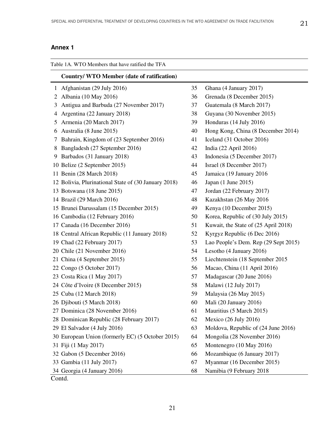### **Annex 1**

|   | Table 1A. WTO Members that have ratified the TFA     |    |                                      |  |  |
|---|------------------------------------------------------|----|--------------------------------------|--|--|
|   | <b>Country/ WTO Member (date of ratification)</b>    |    |                                      |  |  |
| 1 | Afghanistan (29 July 2016)                           | 35 | Ghana (4 January 2017)               |  |  |
| 2 | Albania (10 May 2016)                                | 36 | Grenada (8 December 2015)            |  |  |
| 3 | Antigua and Barbuda (27 November 2017)               | 37 | Guatemala (8 March 2017)             |  |  |
| 4 | Argentina (22 January 2018)                          | 38 | Guyana (30 November 2015)            |  |  |
| 5 | Armenia (20 March 2017)                              | 39 | Honduras (14 July 2016)              |  |  |
| 6 | Australia (8 June 2015)                              | 40 | Hong Kong, China (8 December 2014)   |  |  |
| 7 | Bahrain, Kingdom of (23 September 2016)              | 41 | Iceland (31 October 2016)            |  |  |
| 8 | Bangladesh (27 September 2016)                       | 42 | India (22 April 2016)                |  |  |
| 9 | Barbados (31 January 2018)                           | 43 | Indonesia (5 December 2017)          |  |  |
|   | 10 Belize (2 September 2015)                         | 44 | Israel (8 December 2017)             |  |  |
|   | 11 Benin (28 March 2018)                             | 45 | Jamaica (19 January 2016)            |  |  |
|   | 12 Bolivia, Plurinational State of (30 January 2018) | 46 | Japan (1 June 2015)                  |  |  |
|   | 13 Botswana (18 June 2015)                           | 47 | Jordan (22 February 2017)            |  |  |
|   | 14 Brazil (29 March 2016)                            | 48 | Kazakhstan (26 May 2016              |  |  |
|   | 15 Brunei Darussalam (15 December 2015)              | 49 | Kenya (10 December 2015)             |  |  |
|   | 16 Cambodia (12 February 2016)                       | 50 | Korea, Republic of (30 July 2015)    |  |  |
|   | 17 Canada (16 December 2016)                         | 51 | Kuwait, the State of (25 April 2018) |  |  |
|   | 18 Central African Republic (11 January 2018)        | 52 | Kyrgyz Republic (6 Dec 2016)         |  |  |
|   | 19 Chad (22 February 2017)                           | 53 | Lao People's Dem. Rep (29 Sept 2015) |  |  |
|   | 20 Chile (21 November 2016)                          | 54 | Lesotho (4 January 2016)             |  |  |
|   | 21 China (4 September 2015)                          | 55 | Liechtenstein (18 September 2015     |  |  |
|   | 22 Congo (5 October 2017)                            | 56 | Macao, China (11 April 2016)         |  |  |
|   | 23 Costa Rica (1 May 2017)                           | 57 | Madagascar (20 June 2016)            |  |  |
|   | 24 Côte d'Ivoire (8 December 2015)                   | 58 | Malawi (12 July 2017)                |  |  |
|   | 25 Cuba (12 March 2018)                              | 59 | Malaysia (26 May 2015)               |  |  |
|   | 26 Djibouti (5 March 2018)                           | 60 | Mali (20 January 2016)               |  |  |
|   | 27 Dominica (28 November 2016)                       | 61 | Mauritius (5 March 2015)             |  |  |
|   | 28 Dominican Republic (28 February 2017)             | 62 | Mexico (26 July 2016)                |  |  |
|   | 29 El Salvador (4 July 2016)                         | 63 | Moldova, Republic of (24 June 2016)  |  |  |
|   | 30 European Union (formerly EC) (5 October 2015)     | 64 | Mongolia (28 November 2016)          |  |  |
|   | 31 Fiji (1 May 2017)                                 | 65 | Montenegro (10 May 2016)             |  |  |
|   | 32 Gabon (5 December 2016)                           | 66 | Mozambique (6 January 2017)          |  |  |
|   | 33 Gambia (11 July 2017)                             | 67 | Myanmar (16 December 2015)           |  |  |
|   | 34 Georgia (4 January 2016)                          | 68 | Namibia (9 February 2018             |  |  |
|   | Contd.                                               |    |                                      |  |  |